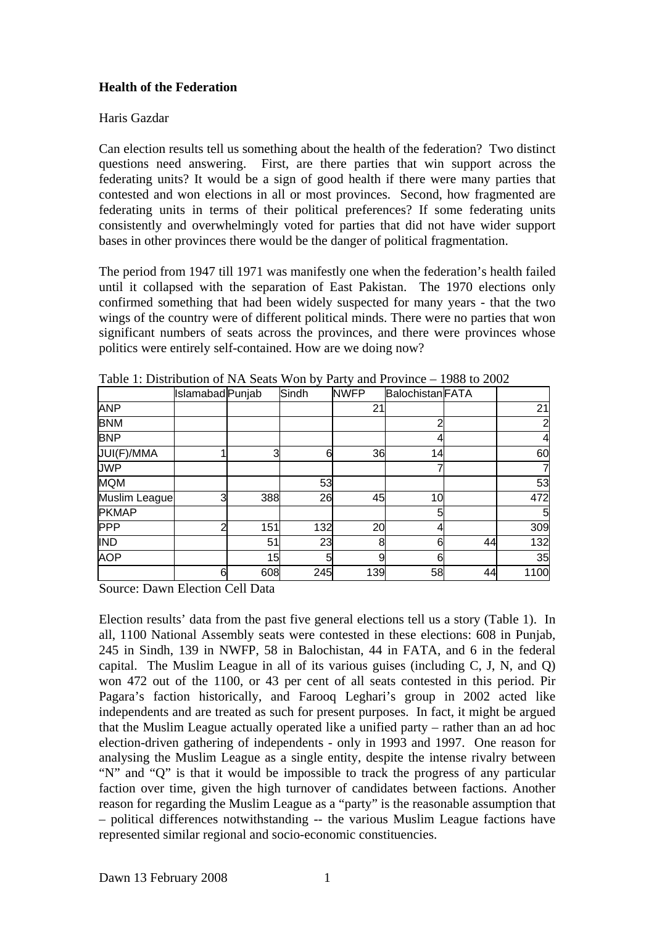## **Health of the Federation**

## Haris Gazdar

Can election results tell us something about the health of the federation? Two distinct questions need answering. First, are there parties that win support across the federating units? It would be a sign of good health if there were many parties that contested and won elections in all or most provinces. Second, how fragmented are federating units in terms of their political preferences? If some federating units consistently and overwhelmingly voted for parties that did not have wider support bases in other provinces there would be the danger of political fragmentation.

The period from 1947 till 1971 was manifestly one when the federation's health failed until it collapsed with the separation of East Pakistan. The 1970 elections only confirmed something that had been widely suspected for many years - that the two wings of the country were of different political minds. There were no parties that won significant numbers of seats across the provinces, and there were provinces whose politics were entirely self-contained. How are we doing now?

|               | Islamabad Punjab |     | Sindh | <b>NWFP</b> | <b>Balochistan FATA</b> |    |      |
|---------------|------------------|-----|-------|-------------|-------------------------|----|------|
| <b>ANP</b>    |                  |     |       | 21          |                         |    | 21   |
| <b>BNM</b>    |                  |     |       |             | 2                       |    |      |
| <b>BNP</b>    |                  |     |       |             |                         |    | 4    |
| JUI(F)/MMA    |                  | 3   | 6     | 36          | 14                      |    | 60   |
| <b>JWP</b>    |                  |     |       |             |                         |    |      |
| <b>MQM</b>    |                  |     | 53    |             |                         |    | 53   |
| Muslim League | 3                | 388 | 26    | 45          | 10                      |    | 472  |
| <b>PKMAP</b>  |                  |     |       |             | 5                       |    | 5    |
| <b>PPP</b>    | ⌒                | 151 | 132   | 20          |                         |    | 309  |
| <b>IND</b>    |                  | 51  | 23    | 8           | 6                       | 44 | 132  |
| <b>AOP</b>    |                  | 15  | 5     | 9           | 6                       |    | 35   |
|               | 6                | 608 | 245   | 139         | 58                      | 44 | 1100 |

Table 1: Distribution of NA Seats Won by Party and Province – 1988 to 2002

Source: Dawn Election Cell Data

Election results' data from the past five general elections tell us a story (Table 1). In all, 1100 National Assembly seats were contested in these elections: 608 in Punjab, 245 in Sindh, 139 in NWFP, 58 in Balochistan, 44 in FATA, and 6 in the federal capital. The Muslim League in all of its various guises (including C, J, N, and Q) won 472 out of the 1100, or 43 per cent of all seats contested in this period. Pir Pagara's faction historically, and Farooq Leghari's group in 2002 acted like independents and are treated as such for present purposes. In fact, it might be argued that the Muslim League actually operated like a unified party – rather than an ad hoc election-driven gathering of independents - only in 1993 and 1997. One reason for analysing the Muslim League as a single entity, despite the intense rivalry between "N" and "Q" is that it would be impossible to track the progress of any particular faction over time, given the high turnover of candidates between factions. Another reason for regarding the Muslim League as a "party" is the reasonable assumption that – political differences notwithstanding -- the various Muslim League factions have represented similar regional and socio-economic constituencies.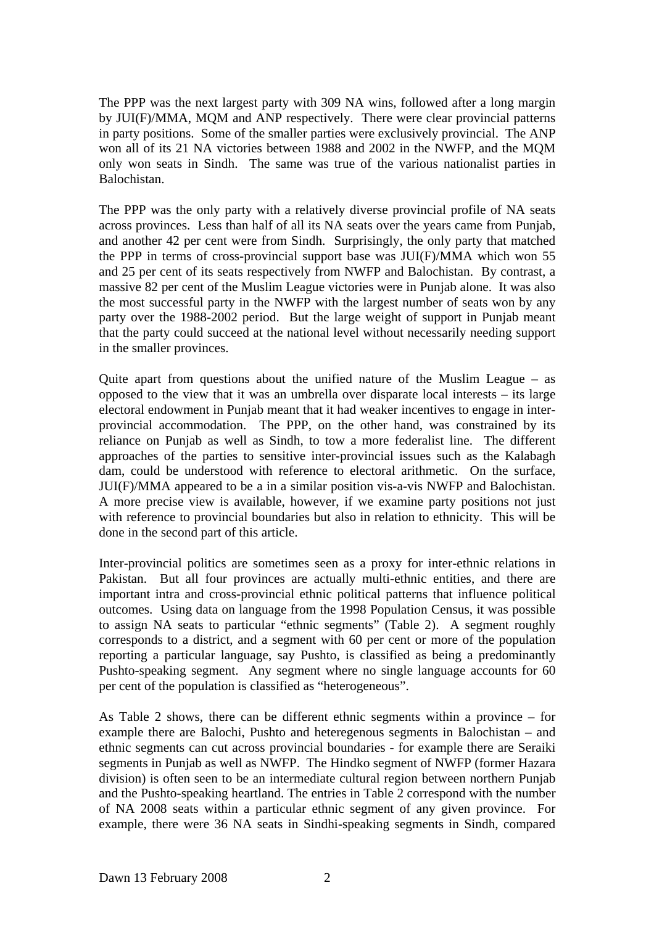The PPP was the next largest party with 309 NA wins, followed after a long margin by JUI(F)/MMA, MQM and ANP respectively. There were clear provincial patterns in party positions. Some of the smaller parties were exclusively provincial. The ANP won all of its 21 NA victories between 1988 and 2002 in the NWFP, and the MQM only won seats in Sindh. The same was true of the various nationalist parties in Balochistan.

The PPP was the only party with a relatively diverse provincial profile of NA seats across provinces. Less than half of all its NA seats over the years came from Punjab, and another 42 per cent were from Sindh. Surprisingly, the only party that matched the PPP in terms of cross-provincial support base was JUI(F)/MMA which won 55 and 25 per cent of its seats respectively from NWFP and Balochistan. By contrast, a massive 82 per cent of the Muslim League victories were in Punjab alone. It was also the most successful party in the NWFP with the largest number of seats won by any party over the 1988-2002 period. But the large weight of support in Punjab meant that the party could succeed at the national level without necessarily needing support in the smaller provinces.

Quite apart from questions about the unified nature of the Muslim League – as opposed to the view that it was an umbrella over disparate local interests – its large electoral endowment in Punjab meant that it had weaker incentives to engage in interprovincial accommodation. The PPP, on the other hand, was constrained by its reliance on Punjab as well as Sindh, to tow a more federalist line. The different approaches of the parties to sensitive inter-provincial issues such as the Kalabagh dam, could be understood with reference to electoral arithmetic. On the surface, JUI(F)/MMA appeared to be a in a similar position vis-a-vis NWFP and Balochistan. A more precise view is available, however, if we examine party positions not just with reference to provincial boundaries but also in relation to ethnicity. This will be done in the second part of this article.

Inter-provincial politics are sometimes seen as a proxy for inter-ethnic relations in Pakistan. But all four provinces are actually multi-ethnic entities, and there are important intra and cross-provincial ethnic political patterns that influence political outcomes. Using data on language from the 1998 Population Census, it was possible to assign NA seats to particular "ethnic segments" (Table 2). A segment roughly corresponds to a district, and a segment with 60 per cent or more of the population reporting a particular language, say Pushto, is classified as being a predominantly Pushto-speaking segment. Any segment where no single language accounts for 60 per cent of the population is classified as "heterogeneous".

As Table 2 shows, there can be different ethnic segments within a province – for example there are Balochi, Pushto and heteregenous segments in Balochistan – and ethnic segments can cut across provincial boundaries - for example there are Seraiki segments in Punjab as well as NWFP. The Hindko segment of NWFP (former Hazara division) is often seen to be an intermediate cultural region between northern Punjab and the Pushto-speaking heartland. The entries in Table 2 correspond with the number of NA 2008 seats within a particular ethnic segment of any given province. For example, there were 36 NA seats in Sindhi-speaking segments in Sindh, compared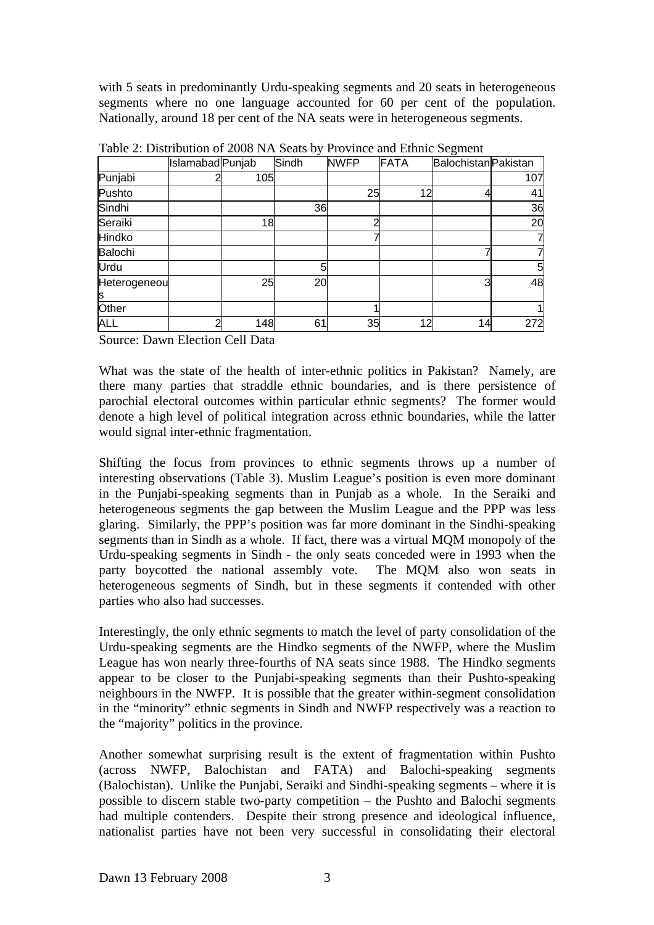with 5 seats in predominantly Urdu-speaking segments and 20 seats in heterogeneous segments where no one language accounted for 60 per cent of the population. Nationally, around 18 per cent of the NA seats were in heterogeneous segments.

|                    | Islamabad Punjab |     | Sindh | <b>NWFP</b> | FATA | <b>Balochistan</b> Pakistan |     |
|--------------------|------------------|-----|-------|-------------|------|-----------------------------|-----|
| Punjabi            |                  | 105 |       |             |      |                             | 107 |
| Pushto             |                  |     |       | 25          | 12   |                             | 41  |
| Sindhi             |                  |     | 36    |             |      |                             | 36  |
| Seraiki            |                  | 18  |       | ∩           |      |                             | 20  |
| Hindko             |                  |     |       |             |      |                             |     |
| Balochi            |                  |     |       |             |      |                             |     |
| Urdu               |                  |     | 5     |             |      |                             | 5   |
| Heterogeneou<br>ls |                  | 25  | 20    |             |      |                             | 48  |
| Other              |                  |     |       |             |      |                             |     |
| <b>ALL</b>         | ⌒                | 148 | 61    | 35          | 12   | 14                          | 272 |

Table 2: Distribution of 2008 NA Seats by Province and Ethnic Segment

Source: Dawn Election Cell Data

What was the state of the health of inter-ethnic politics in Pakistan? Namely, are there many parties that straddle ethnic boundaries, and is there persistence of parochial electoral outcomes within particular ethnic segments? The former would denote a high level of political integration across ethnic boundaries, while the latter would signal inter-ethnic fragmentation.

Shifting the focus from provinces to ethnic segments throws up a number of interesting observations (Table 3). Muslim League's position is even more dominant in the Punjabi-speaking segments than in Punjab as a whole. In the Seraiki and heterogeneous segments the gap between the Muslim League and the PPP was less glaring. Similarly, the PPP's position was far more dominant in the Sindhi-speaking segments than in Sindh as a whole. If fact, there was a virtual MQM monopoly of the Urdu-speaking segments in Sindh - the only seats conceded were in 1993 when the party boycotted the national assembly vote. The MQM also won seats in heterogeneous segments of Sindh, but in these segments it contended with other parties who also had successes.

Interestingly, the only ethnic segments to match the level of party consolidation of the Urdu-speaking segments are the Hindko segments of the NWFP, where the Muslim League has won nearly three-fourths of NA seats since 1988. The Hindko segments appear to be closer to the Punjabi-speaking segments than their Pushto-speaking neighbours in the NWFP. It is possible that the greater within-segment consolidation in the "minority" ethnic segments in Sindh and NWFP respectively was a reaction to the "majority" politics in the province.

Another somewhat surprising result is the extent of fragmentation within Pushto (across NWFP, Balochistan and FATA) and Balochi-speaking segments (Balochistan). Unlike the Punjabi, Seraiki and Sindhi-speaking segments – where it is possible to discern stable two-party competition – the Pushto and Balochi segments had multiple contenders. Despite their strong presence and ideological influence, nationalist parties have not been very successful in consolidating their electoral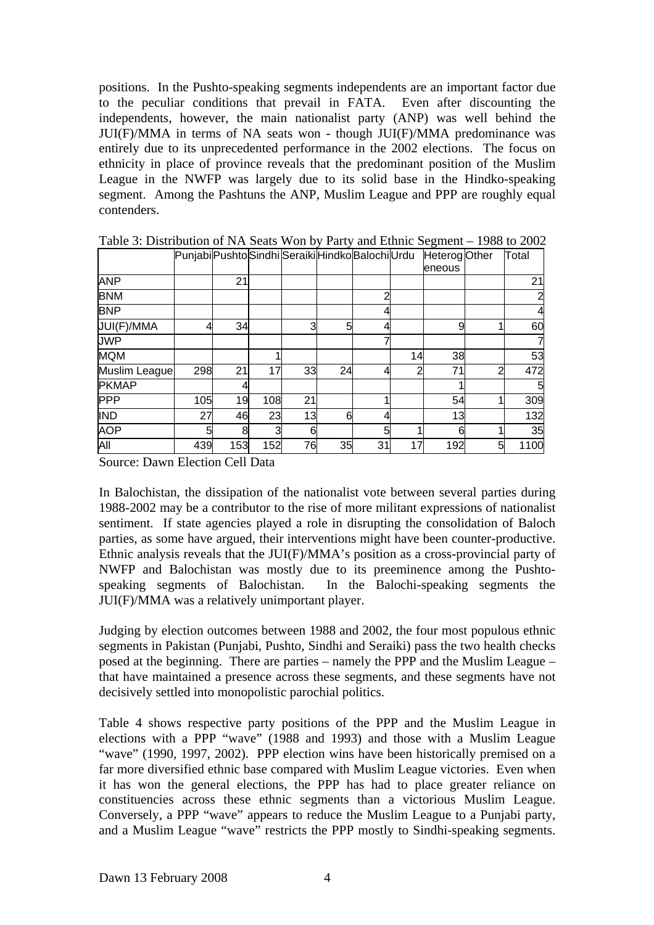positions. In the Pushto-speaking segments independents are an important factor due to the peculiar conditions that prevail in FATA. Even after discounting the independents, however, the main nationalist party (ANP) was well behind the JUI(F)/MMA in terms of NA seats won - though JUI(F)/MMA predominance was entirely due to its unprecedented performance in the 2002 elections. The focus on ethnicity in place of province reveals that the predominant position of the Muslim League in the NWFP was largely due to its solid base in the Hindko-speaking segment. Among the Pashtuns the ANP, Muslim League and PPP are roughly equal contenders.

|               | PunjabiPushtoSindhiSeraikiHindkoBalochiUrdu |     |     |    |    |    |    | Heterog Other |   | Total |
|---------------|---------------------------------------------|-----|-----|----|----|----|----|---------------|---|-------|
|               |                                             |     |     |    |    |    |    | eneous        |   |       |
| <b>ANP</b>    |                                             | 21  |     |    |    |    |    |               |   | 21    |
| <b>BNM</b>    |                                             |     |     |    |    | 2  |    |               |   |       |
| <b>BNP</b>    |                                             |     |     |    |    |    |    |               |   |       |
| JUI(F)/MMA    | 4                                           | 34  |     | 3  | 5  |    |    | 9             |   | 60    |
| <b>JWP</b>    |                                             |     |     |    |    |    |    |               |   |       |
| <b>MQM</b>    |                                             |     |     |    |    |    | 14 | 38            |   | 53    |
| Muslim League | 298                                         | 21  | 17  | 33 | 24 | 4  | っ  | 71            | າ | 472   |
| <b>PKMAP</b>  |                                             | 4   |     |    |    |    |    |               |   |       |
| <b>PPP</b>    | 105                                         | 19  | 108 | 21 |    |    |    | 54            |   | 309   |
| <b>IND</b>    | 27                                          | 46  | 23  | 13 | 6  |    |    | 13            |   | 132   |
| <b>AOP</b>    | 5                                           | 8   | 3   | 6  |    | 5  |    | 6             |   | 35    |
| All           | 439                                         | 153 | 152 | 76 | 35 | 31 | 17 | 192           | 5 | 1100  |

Table 3: Distribution of NA Seats Won by Party and Ethnic Segment – 1988 to 2002

Source: Dawn Election Cell Data

In Balochistan, the dissipation of the nationalist vote between several parties during 1988-2002 may be a contributor to the rise of more militant expressions of nationalist sentiment. If state agencies played a role in disrupting the consolidation of Baloch parties, as some have argued, their interventions might have been counter-productive. Ethnic analysis reveals that the JUI(F)/MMA's position as a cross-provincial party of NWFP and Balochistan was mostly due to its preeminence among the Pushtospeaking segments of Balochistan. In the Balochi-speaking segments the JUI(F)/MMA was a relatively unimportant player.

Judging by election outcomes between 1988 and 2002, the four most populous ethnic segments in Pakistan (Punjabi, Pushto, Sindhi and Seraiki) pass the two health checks posed at the beginning. There are parties – namely the PPP and the Muslim League – that have maintained a presence across these segments, and these segments have not decisively settled into monopolistic parochial politics.

Table 4 shows respective party positions of the PPP and the Muslim League in elections with a PPP "wave" (1988 and 1993) and those with a Muslim League "wave" (1990, 1997, 2002). PPP election wins have been historically premised on a far more diversified ethnic base compared with Muslim League victories. Even when it has won the general elections, the PPP has had to place greater reliance on constituencies across these ethnic segments than a victorious Muslim League. Conversely, a PPP "wave" appears to reduce the Muslim League to a Punjabi party, and a Muslim League "wave" restricts the PPP mostly to Sindhi-speaking segments.